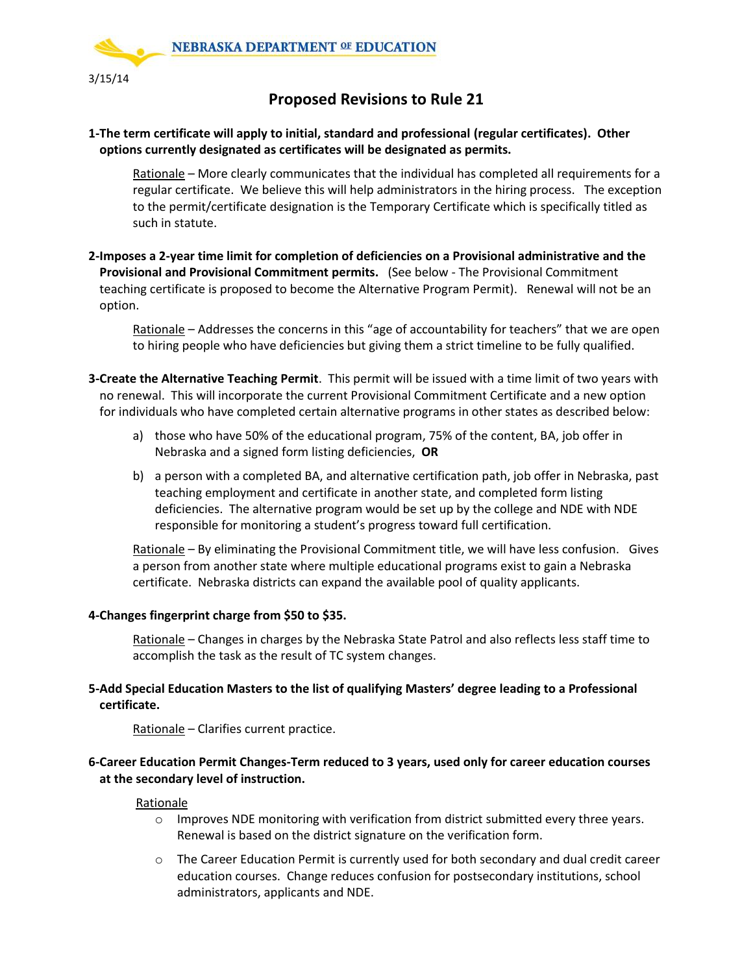

# **Proposed Revisions to Rule 21**

## **1-The term certificate will apply to initial, standard and professional (regular certificates). Other options currently designated as certificates will be designated as permits.**

Rationale – More clearly communicates that the individual has completed all requirements for a regular certificate. We believe this will help administrators in the hiring process. The exception to the permit/certificate designation is the Temporary Certificate which is specifically titled as such in statute.

**2-Imposes a 2-year time limit for completion of deficiencies on a Provisional administrative and the Provisional and Provisional Commitment permits.** (See below - The Provisional Commitment teaching certificate is proposed to become the Alternative Program Permit). Renewal will not be an option.

Rationale – Addresses the concerns in this "age of accountability for teachers" that we are open to hiring people who have deficiencies but giving them a strict timeline to be fully qualified.

- **3-Create the Alternative Teaching Permit**. This permit will be issued with a time limit of two years with no renewal. This will incorporate the current Provisional Commitment Certificate and a new option for individuals who have completed certain alternative programs in other states as described below:
	- a) those who have 50% of the educational program, 75% of the content, BA, job offer in Nebraska and a signed form listing deficiencies, **OR**
	- b) a person with a completed BA, and alternative certification path, job offer in Nebraska, past teaching employment and certificate in another state, and completed form listing deficiencies. The alternative program would be set up by the college and NDE with NDE responsible for monitoring a student's progress toward full certification.

Rationale – By eliminating the Provisional Commitment title, we will have less confusion. Gives a person from another state where multiple educational programs exist to gain a Nebraska certificate. Nebraska districts can expand the available pool of quality applicants.

### **4-Changes fingerprint charge from \$50 to \$35.**

Rationale – Changes in charges by the Nebraska State Patrol and also reflects less staff time to accomplish the task as the result of TC system changes.

## **5-Add Special Education Masters to the list of qualifying Masters' degree leading to a Professional certificate.**

Rationale – Clarifies current practice.

## **6-Career Education Permit Changes-Term reduced to 3 years, used only for career education courses at the secondary level of instruction.**

### **Rationale**

- $\circ$  Improves NDE monitoring with verification from district submitted every three years. Renewal is based on the district signature on the verification form.
- $\circ$  The Career Education Permit is currently used for both secondary and dual credit career education courses. Change reduces confusion for postsecondary institutions, school administrators, applicants and NDE.